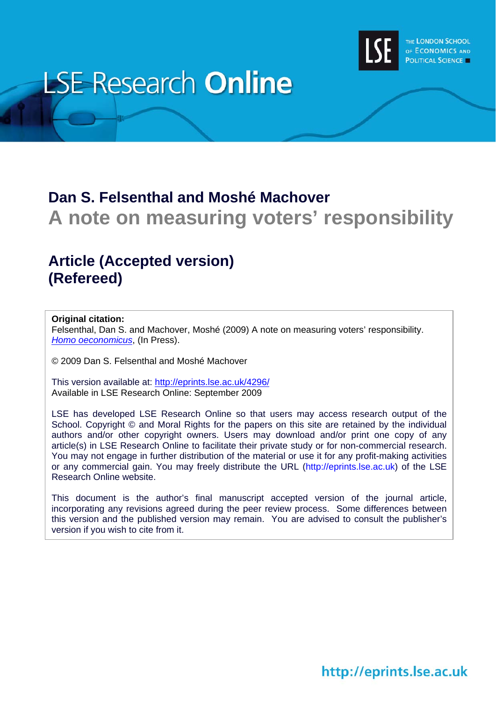

# **LSE Research Online**

# **Dan S. Felsenthal and Moshé Machover A note on measuring voters' responsibility**

# **Article (Accepted version) (Refereed)**

#### **Original citation:**

Felsenthal, Dan S. and Machover, Moshé (2009) A note on measuring voters' responsibility. *[Homo oeconomicus](http://www.homooeconomicus.org/)*, (In Press).

© 2009 Dan S. Felsenthal and Moshé Machover

This version available at: <http://eprints.lse.ac.uk/4296/> Available in LSE Research Online: September 2009

LSE has developed LSE Research Online so that users may access research output of the School. Copyright © and Moral Rights for the papers on this site are retained by the individual authors and/or other copyright owners. Users may download and/or print one copy of any article(s) in LSE Research Online to facilitate their private study or for non-commercial research. You may not engage in further distribution of the material or use it for any profit-making activities or any commercial gain. You may freely distribute the URL (http://eprints.lse.ac.uk) of the LSE Research Online website.

This document is the author's final manuscript accepted version of the journal article, incorporating any revisions agreed during the peer review process. Some differences between this version and the published version may remain. You are advised to consult the publisher's version if you wish to cite from it.

# http://eprints.lse.ac.uk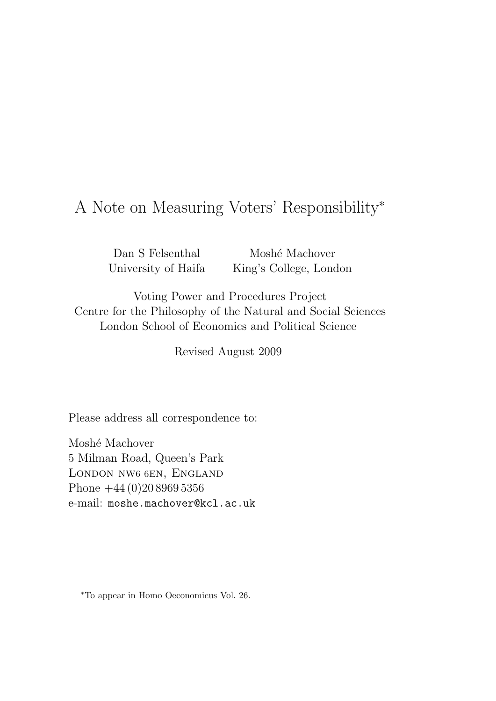## A Note on Measuring Voters' Responsibility<sup>∗</sup>

Dan S Felsenthal University of Haifa

Moshé Machover King's College, London

Voting Power and Procedures Project Centre for the Philosophy of the Natural and Social Sciences London School of Economics and Political Science

Revised August 2009

Please address all correspondence to:

Moshé Machover 5 Milman Road, Queen's Park London nw6 6en, England Phone +44 (0)20 8969 5356 e-mail: moshe.machover@kcl.ac.uk

<sup>∗</sup>To appear in Homo Oeconomicus Vol. 26.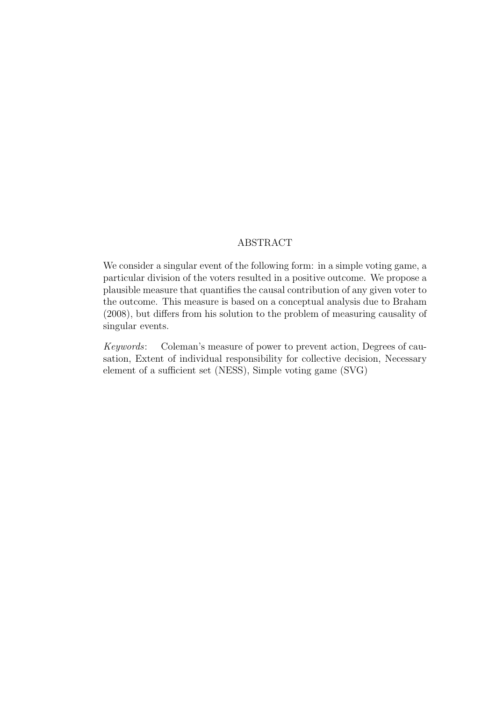#### ABSTRACT

We consider a singular event of the following form: in a simple voting game, a particular division of the voters resulted in a positive outcome. We propose a plausible measure that quantifies the causal contribution of any given voter to the outcome. This measure is based on a conceptual analysis due to Braham (2008), but differs from his solution to the problem of measuring causality of singular events.

Keywords: Coleman's measure of power to prevent action, Degrees of causation, Extent of individual responsibility for collective decision, Necessary element of a sufficient set (NESS), Simple voting game (SVG)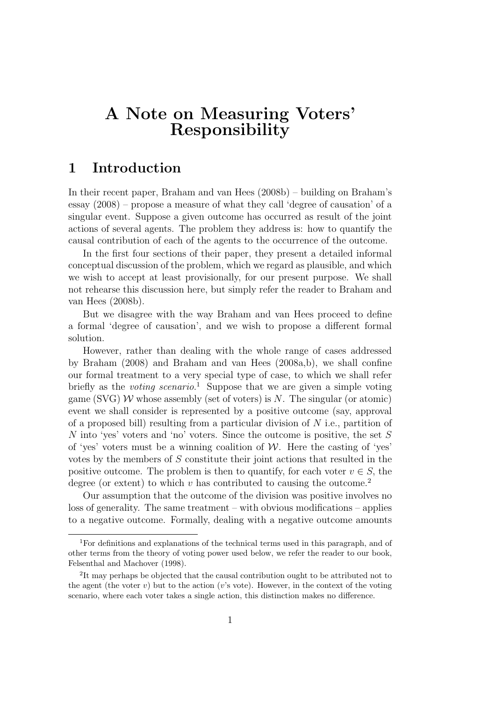## A Note on Measuring Voters' Responsibility

#### 1 Introduction

In their recent paper, Braham and van Hees (2008b) – building on Braham's essay (2008) – propose a measure of what they call 'degree of causation' of a singular event. Suppose a given outcome has occurred as result of the joint actions of several agents. The problem they address is: how to quantify the causal contribution of each of the agents to the occurrence of the outcome.

In the first four sections of their paper, they present a detailed informal conceptual discussion of the problem, which we regard as plausible, and which we wish to accept at least provisionally, for our present purpose. We shall not rehearse this discussion here, but simply refer the reader to Braham and van Hees (2008b).

But we disagree with the way Braham and van Hees proceed to define a formal 'degree of causation', and we wish to propose a different formal solution.

However, rather than dealing with the whole range of cases addressed by Braham (2008) and Braham and van Hees (2008a,b), we shall confine our formal treatment to a very special type of case, to which we shall refer briefly as the *voting scenario*.<sup>1</sup> Suppose that we are given a simple voting game (SVG) W whose assembly (set of voters) is N. The singular (or atomic) event we shall consider is represented by a positive outcome (say, approval of a proposed bill) resulting from a particular division of  $N$  i.e., partition of N into 'yes' voters and 'no' voters. Since the outcome is positive, the set S of 'yes' voters must be a winning coalition of  $W$ . Here the casting of 'yes' votes by the members of S constitute their joint actions that resulted in the positive outcome. The problem is then to quantify, for each voter  $v \in S$ , the degree (or extent) to which v has contributed to causing the outcome.<sup>2</sup>

Our assumption that the outcome of the division was positive involves no loss of generality. The same treatment – with obvious modifications – applies to a negative outcome. Formally, dealing with a negative outcome amounts

<sup>1</sup>For definitions and explanations of the technical terms used in this paragraph, and of other terms from the theory of voting power used below, we refer the reader to our book, Felsenthal and Machover (1998).

<sup>&</sup>lt;sup>2</sup>It may perhaps be objected that the causal contribution ought to be attributed not to the agent (the voter v) but to the action (v's vote). However, in the context of the voting scenario, where each voter takes a single action, this distinction makes no difference.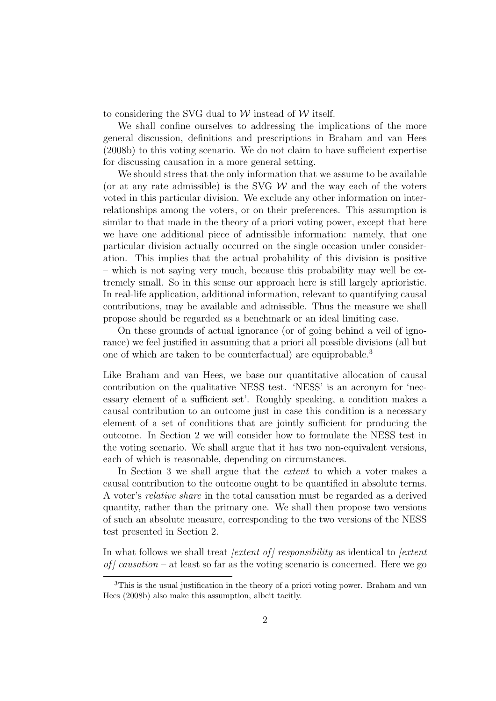to considering the SVG dual to  $W$  instead of  $W$  itself.

We shall confine ourselves to addressing the implications of the more general discussion, definitions and prescriptions in Braham and van Hees (2008b) to this voting scenario. We do not claim to have sufficient expertise for discussing causation in a more general setting.

We should stress that the only information that we assume to be available (or at any rate admissible) is the SVG  $W$  and the way each of the voters voted in this particular division. We exclude any other information on interrelationships among the voters, or on their preferences. This assumption is similar to that made in the theory of a priori voting power, except that here we have one additional piece of admissible information: namely, that one particular division actually occurred on the single occasion under consideration. This implies that the actual probability of this division is positive – which is not saying very much, because this probability may well be extremely small. So in this sense our approach here is still largely aprioristic. In real-life application, additional information, relevant to quantifying causal contributions, may be available and admissible. Thus the measure we shall propose should be regarded as a benchmark or an ideal limiting case.

On these grounds of actual ignorance (or of going behind a veil of ignorance) we feel justified in assuming that a priori all possible divisions (all but one of which are taken to be counterfactual) are equiprobable.<sup>3</sup>

Like Braham and van Hees, we base our quantitative allocation of causal contribution on the qualitative NESS test. 'NESS' is an acronym for 'necessary element of a sufficient set'. Roughly speaking, a condition makes a causal contribution to an outcome just in case this condition is a necessary element of a set of conditions that are jointly sufficient for producing the outcome. In Section 2 we will consider how to formulate the NESS test in the voting scenario. We shall argue that it has two non-equivalent versions, each of which is reasonable, depending on circumstances.

In Section 3 we shall argue that the *extent* to which a voter makes a causal contribution to the outcome ought to be quantified in absolute terms. A voter's relative share in the total causation must be regarded as a derived quantity, rather than the primary one. We shall then propose two versions of such an absolute measure, corresponding to the two versions of the NESS test presented in Section 2.

In what follows we shall treat *[extent of] responsibility* as identical to *[extent* of  $\int$  causation – at least so far as the voting scenario is concerned. Here we go

<sup>3</sup>This is the usual justification in the theory of a priori voting power. Braham and van Hees (2008b) also make this assumption, albeit tacitly.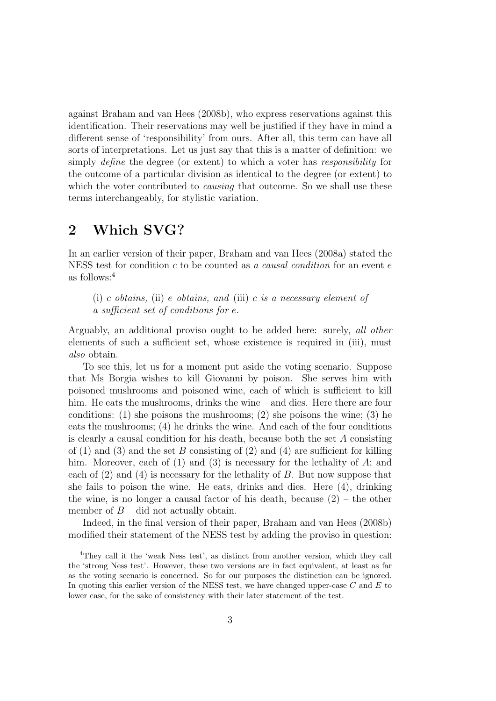against Braham and van Hees (2008b), who express reservations against this identification. Their reservations may well be justified if they have in mind a different sense of 'responsibility' from ours. After all, this term can have all sorts of interpretations. Let us just say that this is a matter of definition: we simply *define* the degree (or extent) to which a voter has *responsibility* for the outcome of a particular division as identical to the degree (or extent) to which the voter contributed to *causing* that outcome. So we shall use these terms interchangeably, for stylistic variation.

## 2 Which SVG?

In an earlier version of their paper, Braham and van Hees (2008a) stated the NESS test for condition c to be counted as a causal condition for an event  $e$ as follows:<sup>4</sup>

(i) c obtains, (ii) e obtains, and (iii) c is a necessary element of a sufficient set of conditions for e.

Arguably, an additional proviso ought to be added here: surely, all other elements of such a sufficient set, whose existence is required in (iii), must also obtain.

To see this, let us for a moment put aside the voting scenario. Suppose that Ms Borgia wishes to kill Giovanni by poison. She serves him with poisoned mushrooms and poisoned wine, each of which is sufficient to kill him. He eats the mushrooms, drinks the wine – and dies. Here there are four conditions:  $(1)$  she poisons the mushrooms;  $(2)$  she poisons the wine;  $(3)$  he eats the mushrooms; (4) he drinks the wine. And each of the four conditions is clearly a causal condition for his death, because both the set  $A$  consisting of  $(1)$  and  $(3)$  and the set B consisting of  $(2)$  and  $(4)$  are sufficient for killing him. Moreover, each of  $(1)$  and  $(3)$  is necessary for the lethality of A; and each of  $(2)$  and  $(4)$  is necessary for the lethality of B. But now suppose that she fails to poison the wine. He eats, drinks and dies. Here (4), drinking the wine, is no longer a causal factor of his death, because  $(2)$  – the other member of  $B -$  did not actually obtain.

Indeed, in the final version of their paper, Braham and van Hees (2008b) modified their statement of the NESS test by adding the proviso in question:

<sup>4</sup>They call it the 'weak Ness test', as distinct from another version, which they call the 'strong Ness test'. However, these two versions are in fact equivalent, at least as far as the voting scenario is concerned. So for our purposes the distinction can be ignored. In quoting this earlier version of the NESS test, we have changed upper-case  $C$  and  $E$  to lower case, for the sake of consistency with their later statement of the test.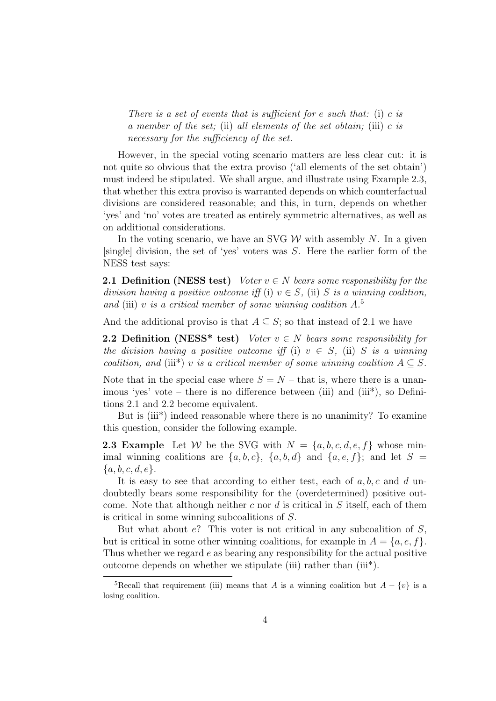There is a set of events that is sufficient for e such that: (i) c is a member of the set; (ii) all elements of the set obtain; (iii)  $c$  is necessary for the sufficiency of the set.

However, in the special voting scenario matters are less clear cut: it is not quite so obvious that the extra proviso ('all elements of the set obtain') must indeed be stipulated. We shall argue, and illustrate using Example 2.3, that whether this extra proviso is warranted depends on which counterfactual divisions are considered reasonable; and this, in turn, depends on whether 'yes' and 'no' votes are treated as entirely symmetric alternatives, as well as on additional considerations.

In the voting scenario, we have an SVG  $W$  with assembly N. In a given  $[single]$  division, the set of 'yes' voters was S. Here the earlier form of the NESS test says:

**2.1 Definition (NESS test)** Voter  $v \in N$  bears some responsibility for the division having a positive outcome iff (i)  $v \in S$ , (ii) S is a winning coalition, and (iii) v is a critical member of some winning coalition  $A$ <sup>5</sup>

And the additional proviso is that  $A \subseteq S$ ; so that instead of 2.1 we have

**2.2 Definition (NESS\* test)** Voter  $v \in N$  bears some responsibility for the division having a positive outcome iff (i)  $v \in S$ , (ii) S is a winning coalition, and (iii\*) v is a critical member of some winning coalition  $A \subseteq S$ .

Note that in the special case where  $S = N -$  that is, where there is a unanimous 'yes' vote – there is no difference between (iii) and (iii\*), so Definitions 2.1 and 2.2 become equivalent.

But is (iii<sup>\*</sup>) indeed reasonable where there is no unanimity? To examine this question, consider the following example.

**2.3 Example** Let W be the SVG with  $N = \{a, b, c, d, e, f\}$  whose minimal winning coalitions are  $\{a, b, c\}$ ,  $\{a, b, d\}$  and  $\{a, e, f\}$ ; and let  $S =$  ${a, b, c, d, e}.$ 

It is easy to see that according to either test, each of  $a, b, c$  and d undoubtedly bears some responsibility for the (overdetermined) positive outcome. Note that although neither c nor d is critical in  $S$  itself, each of them is critical in some winning subcoalitions of S.

But what about  $e$ ? This voter is not critical in any subcoalition of  $S$ , but is critical in some other winning coalitions, for example in  $A = \{a, e, f\}.$ Thus whether we regard e as bearing any responsibility for the actual positive outcome depends on whether we stipulate (iii) rather than (iii\*).

<sup>&</sup>lt;sup>5</sup>Recall that requirement (iii) means that A is a winning coalition but  $A - \{v\}$  is a losing coalition.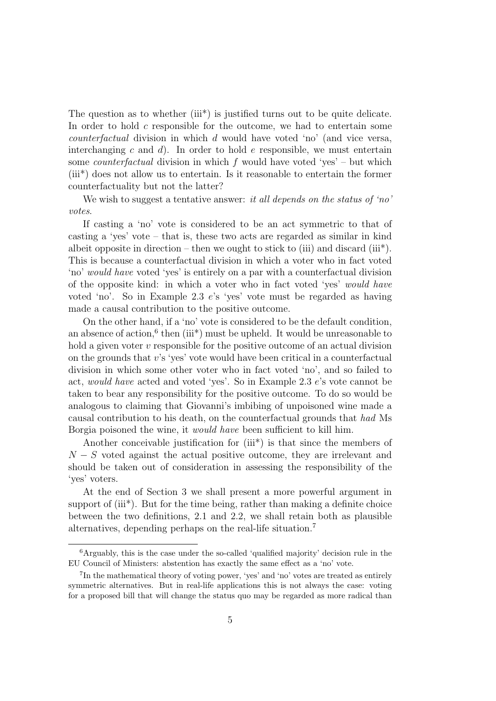The question as to whether (iii<sup>\*</sup>) is justified turns out to be quite delicate. In order to hold  $c$  responsible for the outcome, we had to entertain some counterfactual division in which d would have voted 'no' (and vice versa, interchanging c and d). In order to hold e responsible, we must entertain some *counterfactual* division in which f would have voted 'yes' – but which (iii\*) does not allow us to entertain. Is it reasonable to entertain the former counterfactuality but not the latter?

We wish to suggest a tentative answer: it all depends on the status of 'no' votes.

If casting a 'no' vote is considered to be an act symmetric to that of casting a 'yes' vote – that is, these two acts are regarded as similar in kind albeit opposite in direction – then we ought to stick to (iii) and discard (iii\*). This is because a counterfactual division in which a voter who in fact voted 'no' would have voted 'yes' is entirely on a par with a counterfactual division of the opposite kind: in which a voter who in fact voted 'yes' would have voted 'no'. So in Example 2.3 e's 'yes' vote must be regarded as having made a causal contribution to the positive outcome.

On the other hand, if a 'no' vote is considered to be the default condition, an absence of action,<sup>6</sup> then (iii<sup>\*</sup>) must be upheld. It would be unreasonable to hold a given voter v responsible for the positive outcome of an actual division on the grounds that v's 'yes' vote would have been critical in a counterfactual division in which some other voter who in fact voted 'no', and so failed to act, would have acted and voted 'yes'. So in Example 2.3 e's vote cannot be taken to bear any responsibility for the positive outcome. To do so would be analogous to claiming that Giovanni's imbibing of unpoisoned wine made a causal contribution to his death, on the counterfactual grounds that had Ms Borgia poisoned the wine, it would have been sufficient to kill him.

Another conceivable justification for (iii<sup>\*</sup>) is that since the members of  $N-S$  voted against the actual positive outcome, they are irrelevant and should be taken out of consideration in assessing the responsibility of the 'yes' voters.

At the end of Section 3 we shall present a more powerful argument in support of (iii\*). But for the time being, rather than making a definite choice between the two definitions, 2.1 and 2.2, we shall retain both as plausible alternatives, depending perhaps on the real-life situation.<sup>7</sup>

<sup>6</sup>Arguably, this is the case under the so-called 'qualified majority' decision rule in the EU Council of Ministers: abstention has exactly the same effect as a 'no' vote.

<sup>7</sup> In the mathematical theory of voting power, 'yes' and 'no' votes are treated as entirely symmetric alternatives. But in real-life applications this is not always the case: voting for a proposed bill that will change the status quo may be regarded as more radical than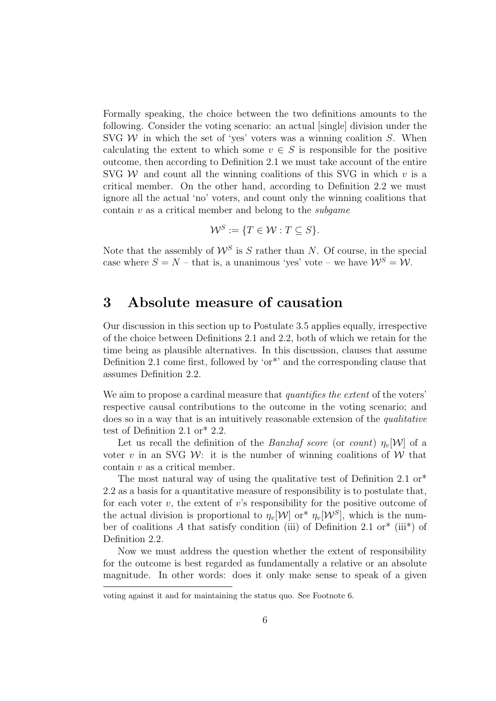Formally speaking, the choice between the two definitions amounts to the following. Consider the voting scenario: an actual [single] division under the SVG  $W$  in which the set of 'yes' voters was a winning coalition  $S$ . When calculating the extent to which some  $v \in S$  is responsible for the positive outcome, then according to Definition 2.1 we must take account of the entire SVG W and count all the winning coalitions of this SVG in which  $v$  is a critical member. On the other hand, according to Definition 2.2 we must ignore all the actual 'no' voters, and count only the winning coalitions that contain  $v$  as a critical member and belong to the *subgame* 

$$
\mathcal{W}^S := \{ T \in \mathcal{W} : T \subseteq S \}.
$$

Note that the assembly of  $\mathcal{W}^S$  is S rather than N. Of course, in the special case where  $S = N -$  that is, a unanimous 'yes' vote – we have  $\mathcal{W}^S = \mathcal{W}$ .

### 3 Absolute measure of causation

Our discussion in this section up to Postulate 3.5 applies equally, irrespective of the choice between Definitions 2.1 and 2.2, both of which we retain for the time being as plausible alternatives. In this discussion, clauses that assume Definition 2.1 come first, followed by 'or\*' and the corresponding clause that assumes Definition 2.2.

We aim to propose a cardinal measure that *quantifies the extent* of the voters' respective causal contributions to the outcome in the voting scenario; and does so in a way that is an intuitively reasonable extension of the qualitative test of Definition 2.1 or\* 2.2.

Let us recall the definition of the Banzhaf score (or count)  $\eta_v[W]$  of a voter v in an SVG W: it is the number of winning coalitions of W that contain v as a critical member.

The most natural way of using the qualitative test of Definition 2.1 or<sup>\*</sup> 2.2 as a basis for a quantitative measure of responsibility is to postulate that, for each voter  $v$ , the extent of  $v$ 's responsibility for the positive outcome of the actual division is proportional to  $\eta_v[\mathcal{W}]$  or<sup>\*</sup>  $\eta_v[\mathcal{W}^S]$ , which is the number of coalitions A that satisfy condition (iii) of Definition 2.1 or<sup>\*</sup> (iii<sup>\*</sup>) of Definition 2.2.

Now we must address the question whether the extent of responsibility for the outcome is best regarded as fundamentally a relative or an absolute magnitude. In other words: does it only make sense to speak of a given

voting against it and for maintaining the status quo. See Footnote 6.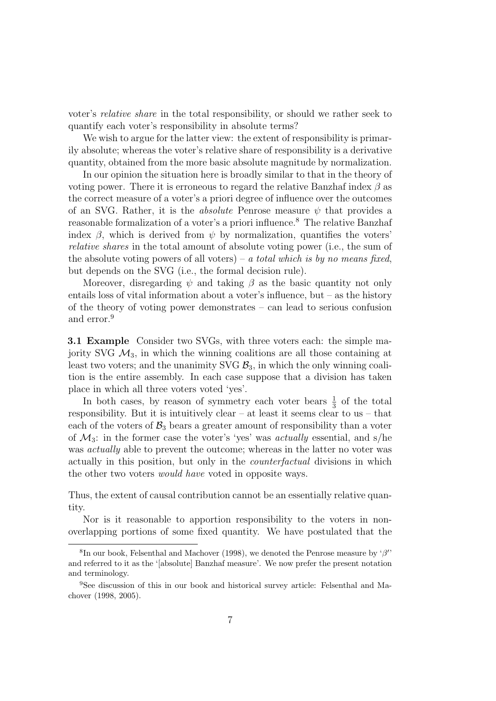voter's relative share in the total responsibility, or should we rather seek to quantify each voter's responsibility in absolute terms?

We wish to argue for the latter view: the extent of responsibility is primarily absolute; whereas the voter's relative share of responsibility is a derivative quantity, obtained from the more basic absolute magnitude by normalization.

In our opinion the situation here is broadly similar to that in the theory of voting power. There it is erroneous to regard the relative Banzhaf index  $\beta$  as the correct measure of a voter's a priori degree of influence over the outcomes of an SVG. Rather, it is the *absolute* Penrose measure  $\psi$  that provides a reasonable formalization of a voter's a priori influence.<sup>8</sup> The relative Banzhaf index  $\beta$ , which is derived from  $\psi$  by normalization, quantifies the voters' relative shares in the total amount of absolute voting power (i.e., the sum of the absolute voting powers of all voters) – a total which is by no means fixed, but depends on the SVG (i.e., the formal decision rule).

Moreover, disregarding  $\psi$  and taking  $\beta$  as the basic quantity not only entails loss of vital information about a voter's influence, but – as the history of the theory of voting power demonstrates – can lead to serious confusion and error.<sup>9</sup>

3.1 Example Consider two SVGs, with three voters each: the simple majority SVG  $\mathcal{M}_3$ , in which the winning coalitions are all those containing at least two voters; and the unanimity SVG  $B_3$ , in which the only winning coalition is the entire assembly. In each case suppose that a division has taken place in which all three voters voted 'yes'.

In both cases, by reason of symmetry each voter bears  $\frac{1}{3}$  of the total responsibility. But it is intuitively clear – at least it seems clear to us – that each of the voters of  $\mathcal{B}_3$  bears a greater amount of responsibility than a voter of  $\mathcal{M}_3$ : in the former case the voter's 'yes' was *actually* essential, and s/he was *actually* able to prevent the outcome; whereas in the latter no voter was actually in this position, but only in the counterfactual divisions in which the other two voters would have voted in opposite ways.

Thus, the extent of causal contribution cannot be an essentially relative quantity.

Nor is it reasonable to apportion responsibility to the voters in nonoverlapping portions of some fixed quantity. We have postulated that the

<sup>&</sup>lt;sup>8</sup>In our book, Felsenthal and Machover (1998), we denoted the Penrose measure by ' $\beta'$ ' and referred to it as the '[absolute] Banzhaf measure'. We now prefer the present notation and terminology.

<sup>9</sup>See discussion of this in our book and historical survey article: Felsenthal and Machover (1998, 2005).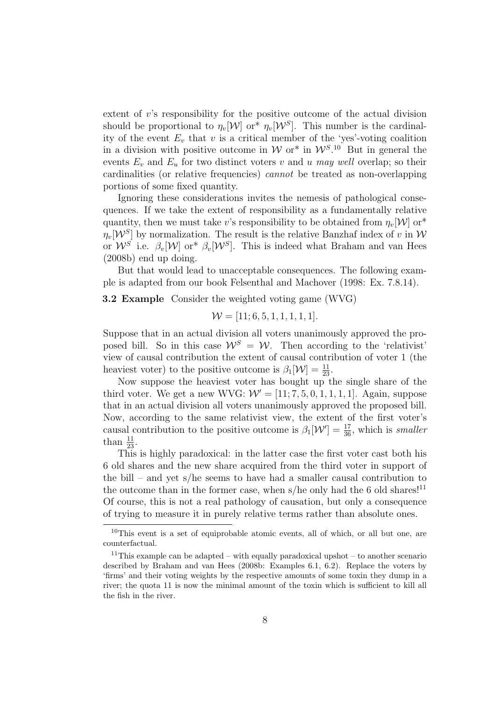extent of  $v$ 's responsibility for the positive outcome of the actual division should be proportional to  $\eta_v[\mathcal{W}]$  or<sup>\*</sup>  $\eta_v[\mathcal{W}^S]$ . This number is the cardinality of the event  $E_v$  that v is a critical member of the 'yes'-voting coalition in a division with positive outcome in W or<sup>\*</sup> in  $W^{S,10}$  But in general the events  $E_v$  and  $E_u$  for two distinct voters v and u may well overlap; so their cardinalities (or relative frequencies) cannot be treated as non-overlapping portions of some fixed quantity.

Ignoring these considerations invites the nemesis of pathological consequences. If we take the extent of responsibility as a fundamentally relative quantity, then we must take v's responsibility to be obtained from  $\eta_v[\mathcal{W}]$  or<sup>\*</sup>  $\eta_v[\mathcal{W}^S]$  by normalization. The result is the relative Banzhaf index of v in  $\mathcal W$ or  $W^S$  i.e.  $\beta_v[W]$  or<sup>\*</sup>  $\beta_v[W^S]$ . This is indeed what Braham and van Hees (2008b) end up doing.

But that would lead to unacceptable consequences. The following example is adapted from our book Felsenthal and Machover (1998: Ex. 7.8.14).

3.2 Example Consider the weighted voting game (WVG)

$$
\mathcal{W} = [11; 6, 5, 1, 1, 1, 1, 1].
$$

Suppose that in an actual division all voters unanimously approved the proposed bill. So in this case  $\mathcal{W}^S = \mathcal{W}$ . Then according to the 'relativist' view of causal contribution the extent of causal contribution of voter 1 (the heaviest voter) to the positive outcome is  $\beta_1[\mathcal{W}] = \frac{11}{23}$ .

Now suppose the heaviest voter has bought up the single share of the third voter. We get a new WVG:  $W' = [11; 7, 5, 0, 1, 1, 1, 1]$ . Again, suppose that in an actual division all voters unanimously approved the proposed bill. Now, according to the same relativist view, the extent of the first voter's causal contribution to the positive outcome is  $\beta_1[\mathcal{W}'] = \frac{17}{36}$ , which is smaller than  $\frac{11}{23}$ .

This is highly paradoxical: in the latter case the first voter cast both his 6 old shares and the new share acquired from the third voter in support of the bill – and yet s/he seems to have had a smaller causal contribution to the outcome than in the former case, when s/he only had the 6 old shares!<sup>11</sup> Of course, this is not a real pathology of causation, but only a consequence of trying to measure it in purely relative terms rather than absolute ones.

 $10$ This event is a set of equiprobable atomic events, all of which, or all but one, are counterfactual.

<sup>&</sup>lt;sup>11</sup>This example can be adapted – with equally paradoxical upshot – to another scenario described by Braham and van Hees (2008b: Examples 6.1, 6.2). Replace the voters by 'firms' and their voting weights by the respective amounts of some toxin they dump in a river; the quota 11 is now the minimal amount of the toxin which is sufficient to kill all the fish in the river.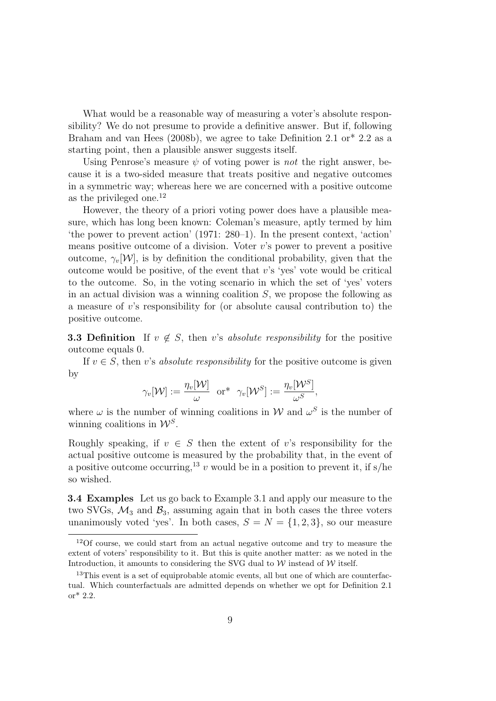What would be a reasonable way of measuring a voter's absolute responsibility? We do not presume to provide a definitive answer. But if, following Braham and van Hees (2008b), we agree to take Definition 2.1 or  $*$  2.2 as a starting point, then a plausible answer suggests itself.

Using Penrose's measure  $\psi$  of voting power is *not* the right answer, because it is a two-sided measure that treats positive and negative outcomes in a symmetric way; whereas here we are concerned with a positive outcome as the privileged one.<sup>12</sup>

However, the theory of a priori voting power does have a plausible measure, which has long been known: Coleman's measure, aptly termed by him 'the power to prevent action' (1971: 280–1). In the present context, 'action' means positive outcome of a division. Voter  $v$ 's power to prevent a positive outcome,  $\gamma_n[\mathcal{W}]$ , is by definition the conditional probability, given that the outcome would be positive, of the event that  $v$ 's 'yes' vote would be critical to the outcome. So, in the voting scenario in which the set of 'yes' voters in an actual division was a winning coalition  $S$ , we propose the following as a measure of v's responsibility for (or absolute causal contribution to) the positive outcome.

**3.3 Definition** If  $v \notin S$ , then v's absolute responsibility for the positive outcome equals 0.

If  $v \in S$ , then v's absolute responsibility for the positive outcome is given by

$$
\gamma_v[\mathcal{W}] := \frac{\eta_v[\mathcal{W}]}{\omega} \ \ \text{or*} \ \ \gamma_v[\mathcal{W}^S] := \frac{\eta_v[\mathcal{W}^S]}{\omega^S},
$$

where  $\omega$  is the number of winning coalitions in W and  $\omega^S$  is the number of winning coalitions in  $\mathcal{W}^S$ .

Roughly speaking, if  $v \in S$  then the extent of v's responsibility for the actual positive outcome is measured by the probability that, in the event of a positive outcome occurring,<sup>13</sup> v would be in a position to prevent it, if s/he so wished.

3.4 Examples Let us go back to Example 3.1 and apply our measure to the two SVGs,  $\mathcal{M}_3$  and  $\mathcal{B}_3$ , assuming again that in both cases the three voters unanimously voted 'yes'. In both cases,  $S = N = \{1, 2, 3\}$ , so our measure

<sup>12</sup>Of course, we could start from an actual negative outcome and try to measure the extent of voters' responsibility to it. But this is quite another matter: as we noted in the Introduction, it amounts to considering the SVG dual to  $W$  instead of  $W$  itself.

<sup>&</sup>lt;sup>13</sup>This event is a set of equiprobable atomic events, all but one of which are counterfactual. Which counterfactuals are admitted depends on whether we opt for Definition 2.1 or\* 2.2.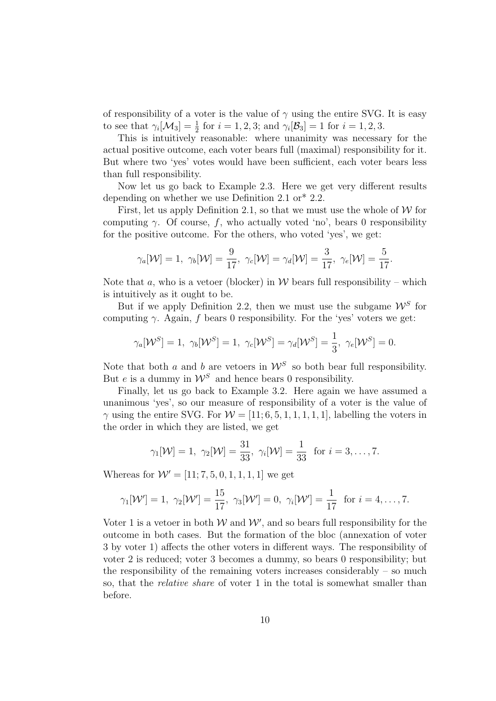of responsibility of a voter is the value of  $\gamma$  using the entire SVG. It is easy to see that  $\gamma_i[\mathcal{M}_3] = \frac{1}{2}$  for  $i = 1, 2, 3$ ; and  $\gamma_i[\mathcal{B}_3] = 1$  for  $i = 1, 2, 3$ .

This is intuitively reasonable: where unanimity was necessary for the actual positive outcome, each voter bears full (maximal) responsibility for it. But where two 'yes' votes would have been sufficient, each voter bears less than full responsibility.

Now let us go back to Example 2.3. Here we get very different results depending on whether we use Definition 2.1 or\* 2.2.

First, let us apply Definition 2.1, so that we must use the whole of  $W$  for computing  $\gamma$ . Of course, f, who actually voted 'no', bears 0 responsibility for the positive outcome. For the others, who voted 'yes', we get:

$$
\gamma_a[\mathcal{W}] = 1, \ \gamma_b[\mathcal{W}] = \frac{9}{17}, \ \gamma_c[\mathcal{W}] = \gamma_d[\mathcal{W}] = \frac{3}{17}, \ \gamma_e[\mathcal{W}] = \frac{5}{17}.
$$

Note that a, who is a vetoer (blocker) in  $W$  bears full responsibility – which is intuitively as it ought to be.

But if we apply Definition 2.2, then we must use the subgame  $\mathcal{W}^S$  for computing  $\gamma$ . Again, f bears 0 responsibility. For the 'yes' voters we get:

$$
\gamma_a[\mathcal{W}^S] = 1, \ \gamma_b[\mathcal{W}^S] = 1, \ \gamma_c[\mathcal{W}^S] = \gamma_d[\mathcal{W}^S] = \frac{1}{3}, \ \gamma_e[\mathcal{W}^S] = 0.
$$

Note that both a and b are vetoers in  $\mathcal{W}^S$  so both bear full responsibility. But e is a dummy in  $\mathcal{W}^S$  and hence bears 0 responsibility.

Finally, let us go back to Example 3.2. Here again we have assumed a unanimous 'yes', so our measure of responsibility of a voter is the value of  $\gamma$  using the entire SVG. For  $\mathcal{W} = [11; 6, 5, 1, 1, 1, 1, 1]$ , labelling the voters in the order in which they are listed, we get

$$
\gamma_1[\mathcal{W}] = 1, \ \gamma_2[\mathcal{W}] = \frac{31}{33}, \ \gamma_i[\mathcal{W}] = \frac{1}{33} \text{ for } i = 3, \dots, 7.
$$

Whereas for  $W' = [11; 7, 5, 0, 1, 1, 1, 1]$  we get

$$
\gamma_1[\mathcal{W}'] = 1, \ \gamma_2[\mathcal{W}'] = \frac{15}{17}, \ \gamma_3[\mathcal{W}'] = 0, \ \gamma_i[\mathcal{W}'] = \frac{1}{17} \ \text{ for } i = 4, \dots, 7.
$$

Voter 1 is a vetoer in both  $W$  and  $W'$ , and so bears full responsibility for the outcome in both cases. But the formation of the bloc (annexation of voter 3 by voter 1) affects the other voters in different ways. The responsibility of voter 2 is reduced; voter 3 becomes a dummy, so bears 0 responsibility; but the responsibility of the remaining voters increases considerably  $-$  so much so, that the relative share of voter 1 in the total is somewhat smaller than before.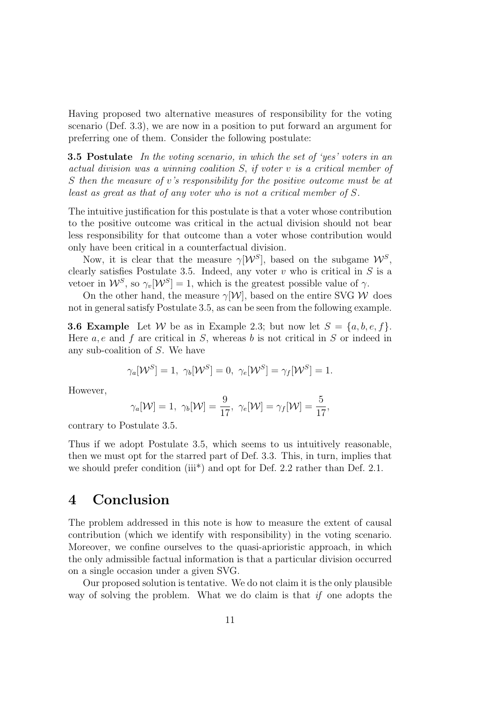Having proposed two alternative measures of responsibility for the voting scenario (Def. 3.3), we are now in a position to put forward an argument for preferring one of them. Consider the following postulate:

**3.5 Postulate** In the voting scenario, in which the set of 'yes' voters in an actual division was a winning coalition S, if voter v is a critical member of S then the measure of v's responsibility for the positive outcome must be at least as great as that of any voter who is not a critical member of S.

The intuitive justification for this postulate is that a voter whose contribution to the positive outcome was critical in the actual division should not bear less responsibility for that outcome than a voter whose contribution would only have been critical in a counterfactual division.

Now, it is clear that the measure  $\gamma[\mathcal{W}^S]$ , based on the subgame  $\mathcal{W}^S$ , clearly satisfies Postulate 3.5. Indeed, any voter  $v$  who is critical in  $S$  is a vetoer in  $W^S$ , so  $\gamma_v[W^S] = 1$ , which is the greatest possible value of  $\gamma$ .

On the other hand, the measure  $\gamma[\mathcal{W}]$ , based on the entire SVG W does not in general satisfy Postulate 3.5, as can be seen from the following example.

**3.6 Example** Let W be as in Example 2.3; but now let  $S = \{a, b, e, f\}$ . Here  $a, e$  and  $f$  are critical in  $S$ , whereas  $b$  is not critical in  $S$  or indeed in any sub-coalition of S. We have

$$
\gamma_a[\mathcal{W}^S] = 1, \ \gamma_b[\mathcal{W}^S] = 0, \ \gamma_e[\mathcal{W}^S] = \gamma_f[\mathcal{W}^S] = 1.
$$

However,

$$
\gamma_a[\mathcal{W}] = 1, \ \gamma_b[\mathcal{W}] = \frac{9}{17}, \ \gamma_e[\mathcal{W}] = \gamma_f[\mathcal{W}] = \frac{5}{17},
$$

contrary to Postulate 3.5.

Thus if we adopt Postulate 3.5, which seems to us intuitively reasonable, then we must opt for the starred part of Def. 3.3. This, in turn, implies that we should prefer condition (iii<sup>\*</sup>) and opt for Def. 2.2 rather than Def. 2.1.

## 4 Conclusion

The problem addressed in this note is how to measure the extent of causal contribution (which we identify with responsibility) in the voting scenario. Moreover, we confine ourselves to the quasi-aprioristic approach, in which the only admissible factual information is that a particular division occurred on a single occasion under a given SVG.

Our proposed solution is tentative. We do not claim it is the only plausible way of solving the problem. What we do claim is that if one adopts the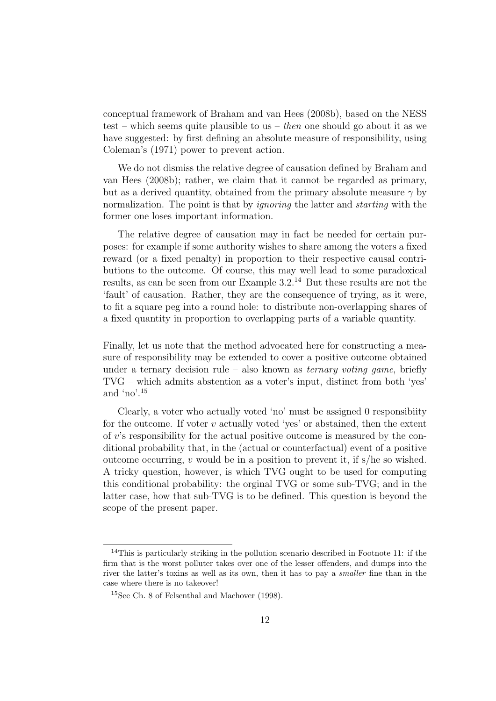conceptual framework of Braham and van Hees (2008b), based on the NESS test – which seems quite plausible to us – then one should go about it as we have suggested: by first defining an absolute measure of responsibility, using Coleman's (1971) power to prevent action.

We do not dismiss the relative degree of causation defined by Braham and van Hees (2008b); rather, we claim that it cannot be regarded as primary, but as a derived quantity, obtained from the primary absolute measure  $\gamma$  by normalization. The point is that by *ignoring* the latter and *starting* with the former one loses important information.

The relative degree of causation may in fact be needed for certain purposes: for example if some authority wishes to share among the voters a fixed reward (or a fixed penalty) in proportion to their respective causal contributions to the outcome. Of course, this may well lead to some paradoxical results, as can be seen from our Example 3.2.<sup>14</sup> But these results are not the 'fault' of causation. Rather, they are the consequence of trying, as it were, to fit a square peg into a round hole: to distribute non-overlapping shares of a fixed quantity in proportion to overlapping parts of a variable quantity.

Finally, let us note that the method advocated here for constructing a measure of responsibility may be extended to cover a positive outcome obtained under a ternary decision rule – also known as *ternary voting game*, briefly TVG – which admits abstention as a voter's input, distinct from both 'yes' and 'no'.<sup>15</sup>

Clearly, a voter who actually voted 'no' must be assigned 0 responsibiity for the outcome. If voter  $v$  actually voted 'yes' or abstained, then the extent of v's responsibility for the actual positive outcome is measured by the conditional probability that, in the (actual or counterfactual) event of a positive outcome occurring, v would be in a position to prevent it, if  $s/he$  so wished. A tricky question, however, is which TVG ought to be used for computing this conditional probability: the orginal TVG or some sub-TVG; and in the latter case, how that sub-TVG is to be defined. This question is beyond the scope of the present paper.

<sup>14</sup>This is particularly striking in the pollution scenario described in Footnote 11: if the firm that is the worst polluter takes over one of the lesser offenders, and dumps into the river the latter's toxins as well as its own, then it has to pay a smaller fine than in the case where there is no takeover!

<sup>15</sup>See Ch. 8 of Felsenthal and Machover (1998).